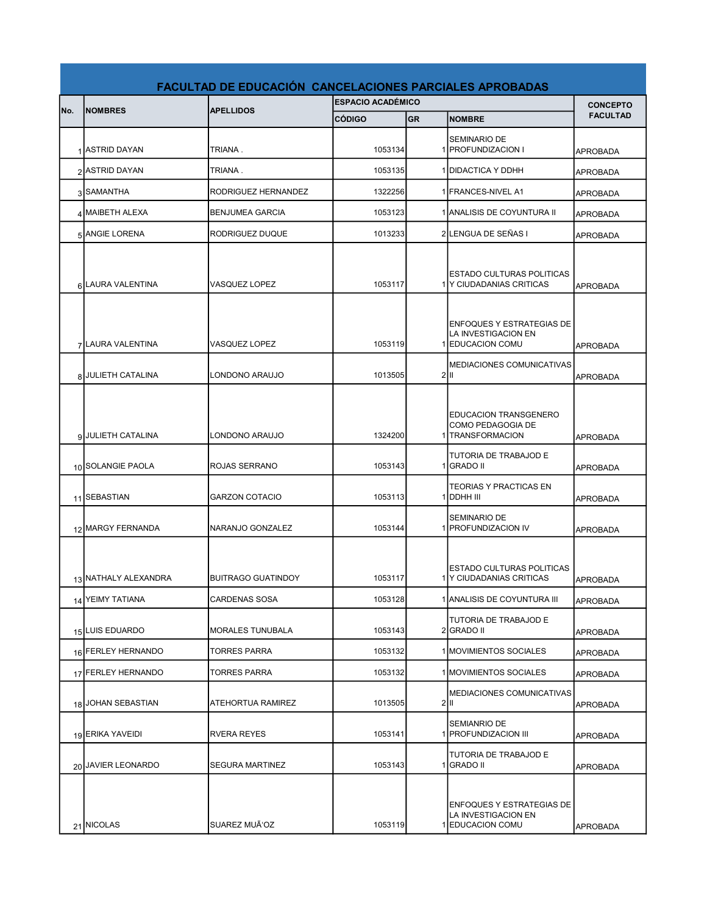|     | <b>FACULTAD DE EDUCACIÓN CANCELACIONES PARCIALES APROBADAS</b> |                           |                          |           |                                                                             |                 |  |
|-----|----------------------------------------------------------------|---------------------------|--------------------------|-----------|-----------------------------------------------------------------------------|-----------------|--|
|     |                                                                |                           | <b>ESPACIO ACADÉMICO</b> |           |                                                                             | <b>CONCEPTO</b> |  |
| No. | <b>NOMBRES</b>                                                 | <b>APELLIDOS</b>          | <b>CÓDIGO</b>            | <b>GR</b> | <b>NOMBRE</b>                                                               | <b>FACULTAD</b> |  |
|     | 1 ASTRID DAYAN                                                 | TRIANA.                   | 1053134                  |           | <b>SEMINARIO DE</b><br>1 <b>PROFUNDIZACION I</b>                            | <b>APROBADA</b> |  |
|     | 2 ASTRID DAYAN                                                 | TRIANA.                   | 1053135                  |           | 1 DIDACTICA Y DDHH                                                          | <b>APROBADA</b> |  |
|     | 3 SAMANTHA                                                     | RODRIGUEZ HERNANDEZ       | 1322256                  |           | 1 FRANCES-NIVEL A1                                                          | <b>APROBADA</b> |  |
|     | 4 MAIBETH ALEXA                                                | <b>BENJUMEA GARCIA</b>    | 1053123                  |           | 1 ANALISIS DE COYUNTURA II                                                  | APROBADA        |  |
|     | 5 ANGIE LORENA                                                 | <b>RODRIGUEZ DUQUE</b>    | 1013233                  |           | 2LENGUA DE SEÑAS I                                                          | <b>APROBADA</b> |  |
|     | 6 LAURA VALENTINA                                              | <b>VASQUEZ LOPEZ</b>      | 1053117                  |           | ESTADO CULTURAS POLITICAS<br>1 Y CIUDADANIAS CRITICAS                       | <b>APROBADA</b> |  |
|     | 7 LAURA VALENTINA                                              | <b>VASQUEZ LOPEZ</b>      | 1053119                  |           | <b>ENFOQUES Y ESTRATEGIAS DE</b><br>LA INVESTIGACION EN<br>1 EDUCACION COMU | <b>APROBADA</b> |  |
|     | 8 JULIETH CATALINA                                             | LONDONO ARAUJO            | 1013505                  |           | <b>MEDIACIONES COMUNICATIVAS</b><br>$2$  II                                 | <b>APROBADA</b> |  |
|     | 9 JULIETH CATALINA                                             | LONDONO ARAUJO            | 1324200                  |           | EDUCACION TRANSGENERO<br>COMO PEDAGOGIA DE<br>1 <b>TRANSFORMACION</b>       | <b>APROBADA</b> |  |
|     | 10 SOLANGIE PAOLA                                              | ROJAS SERRANO             | 1053143                  |           | <b>TUTORIA DE TRABAJOD E</b><br>1 GRADO II                                  | <b>APROBADA</b> |  |
|     | 11 SEBASTIAN                                                   | <b>GARZON COTACIO</b>     | 1053113                  |           | <b>TEORIAS Y PRACTICAS EN</b><br>1 DDHH III                                 | <b>APROBADA</b> |  |
|     | 12 MARGY FERNANDA                                              | NARANJO GONZALEZ          | 1053144                  |           | <b>SEMINARIO DE</b><br>1 <b>PROFUNDIZACION IV</b>                           | <b>APROBADA</b> |  |
|     | 13 NATHALY ALEXANDRA                                           | <b>BUITRAGO GUATINDOY</b> | 1053117                  |           | ESTADO CULTURAS POLITICAS<br>1 Y CIUDADANIAS CRITICAS                       | APROBADA        |  |
|     | 14 YEIMY TATIANA                                               | <b>CARDENAS SOSA</b>      | 1053128                  |           | 1 ANALISIS DE COYUNTURA III                                                 | <b>APROBADA</b> |  |
|     | 15 LUIS EDUARDO                                                | <b>MORALES TUNUBALA</b>   | 1053143                  |           | TUTORIA DE TRABAJOD E<br>2 GRADO II                                         | <b>APROBADA</b> |  |
|     | 16 FERLEY HERNANDO                                             | <b>TORRES PARRA</b>       | 1053132                  |           | 1 MOVIMIENTOS SOCIALES                                                      | APROBADA        |  |
|     | 17 FERLEY HERNANDO                                             | TORRES PARRA              | 1053132                  |           | 1 MOVIMIENTOS SOCIALES                                                      | APROBADA        |  |
|     | 18 JOHAN SEBASTIAN                                             | <b>ATEHORTUA RAMIREZ</b>  | 1013505                  |           | MEDIACIONES COMUNICATIVAS<br>2 III                                          | APROBADA        |  |
|     | 19 ERIKA YAVEIDI                                               | RVERA REYES               | 1053141                  |           | SEMIANRIO DE<br>1 <b>PROFUNDIZACION III</b>                                 | <b>APROBADA</b> |  |
|     | 20 JAVIER LEONARDO                                             | <b>SEGURA MARTINEZ</b>    | 1053143                  |           | TUTORIA DE TRABAJOD E<br>1 GRADO II                                         | APROBADA        |  |
|     | 21 NICOLAS                                                     | SUAREZ MUÃ'OZ             | 1053119                  |           | ENFOQUES Y ESTRATEGIAS DE<br>LA INVESTIGACION EN<br>1 EDUCACION COMU        | APROBADA        |  |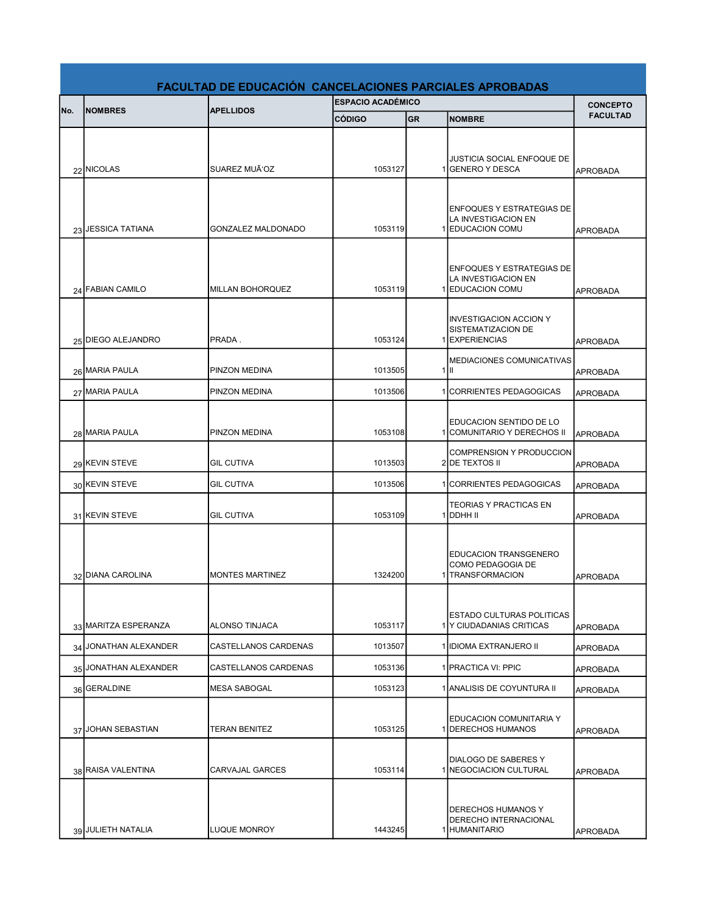|     | <b>FACULTAD DE EDUCACIÓN CANCELACIONES PARCIALES APROBADAS</b> |                         |                          |           |                                                                             |                 |  |
|-----|----------------------------------------------------------------|-------------------------|--------------------------|-----------|-----------------------------------------------------------------------------|-----------------|--|
| No. | <b>INOMBRES</b>                                                | <b>APELLIDOS</b>        | <b>ESPACIO ACADÉMICO</b> |           |                                                                             | <b>CONCEPTO</b> |  |
|     |                                                                |                         | <b>CÓDIGO</b>            | <b>GR</b> | <b>NOMBRE</b>                                                               | <b>FACULTAD</b> |  |
|     | 22 NICOLAS                                                     | SUAREZ MUÃ'OZ           | 1053127                  |           | JUSTICIA SOCIAL ENFOQUE DE<br>1 GENERO Y DESCA                              | <b>APROBADA</b> |  |
|     | 23 JESSICA TATIANA                                             | GONZALEZ MALDONADO      | 1053119                  |           | <b>ENFOQUES Y ESTRATEGIAS DE</b><br>LA INVESTIGACION EN<br>1 EDUCACION COMU | <b>APROBADA</b> |  |
|     | 24 FABIAN CAMILO                                               | <b>MILLAN BOHORQUEZ</b> | 1053119                  |           | <b>ENFOQUES Y ESTRATEGIAS DE</b><br>LA INVESTIGACION EN<br>1 EDUCACION COMU | <b>APROBADA</b> |  |
|     | 25 DIEGO ALEJANDRO                                             | PRADA.                  | 1053124                  |           | <b>INVESTIGACION ACCION Y</b><br>SISTEMATIZACION DE<br>1 EXPERIENCIAS       | <b>APROBADA</b> |  |
|     | 26 MARIA PAULA                                                 | <b>PINZON MEDINA</b>    | 1013505                  |           | <b>MEDIACIONES COMUNICATIVAS</b><br>$1$ III                                 | <b>APROBADA</b> |  |
|     | 27 MARIA PAULA                                                 | PINZON MEDINA           | 1013506                  |           | 1 CORRIENTES PEDAGOGICAS                                                    | <b>APROBADA</b> |  |
|     | 28 MARIA PAULA                                                 | PINZON MEDINA           | 1053108                  |           | EDUCACION SENTIDO DE LO<br>1 COMUNITARIO Y DERECHOS II                      | <b>APROBADA</b> |  |
|     | 29 KEVIN STEVE                                                 | <b>GIL CUTIVA</b>       | 1013503                  |           | <b>COMPRENSION Y PRODUCCION</b><br>2 DE TEXTOS II                           | <b>APROBADA</b> |  |
|     | 30 KEVIN STEVE                                                 | <b>GIL CUTIVA</b>       | 1013506                  |           | 1 CORRIENTES PEDAGOGICAS                                                    | <b>APROBADA</b> |  |
|     | 31 KEVIN STEVE                                                 | <b>GIL CUTIVA</b>       | 1053109                  |           | <b>TEORIAS Y PRACTICAS EN</b><br>1 DDHH II                                  | <b>APROBADA</b> |  |
|     | 32 DIANA CAROLINA                                              | <b>MONTES MARTINEZ</b>  | 1324200                  |           | <b>EDUCACION TRANSGENERO</b><br>COMO PEDAGOGIA DE<br>1 TRANSFORMACION       | <b>APROBADA</b> |  |
|     | 33 MARITZA ESPERANZA                                           | ALONSO TINJACA          | 1053117                  |           | ESTADO CULTURAS POLITICAS<br>1 Y CIUDADANIAS CRITICAS                       | <b>APROBADA</b> |  |
|     | 34 JONATHAN ALEXANDER                                          | CASTELLANOS CARDENAS    | 1013507                  |           | 1 IIDIOMA EXTRANJERO II                                                     | <b>APROBADA</b> |  |
|     | 35 JONATHAN ALEXANDER                                          | CASTELLANOS CARDENAS    | 1053136                  |           | 1 PRACTICA VI: PPIC                                                         | <b>APROBADA</b> |  |
|     | 36 GERALDINE                                                   | <b>MESA SABOGAL</b>     | 1053123                  |           | 1 ANALISIS DE COYUNTURA II                                                  | <b>APROBADA</b> |  |
|     | 37 JOHAN SEBASTIAN                                             | <b>TERAN BENITEZ</b>    | 1053125                  |           | EDUCACION COMUNITARIA Y<br>1 <b>DERECHOS HUMANOS</b>                        | <b>APROBADA</b> |  |
|     | 38 RAISA VALENTINA                                             | CARVAJAL GARCES         | 1053114                  |           | DIALOGO DE SABERES Y<br>1 <b>INEGOCIACION CULTURAL</b>                      | <b>APROBADA</b> |  |
|     | 39 JULIETH NATALIA                                             | <b>LUQUE MONROY</b>     | 1443245                  |           | DERECHOS HUMANOS Y<br>DERECHO INTERNACIONAL<br>1 HUMANITARIO                | APROBADA        |  |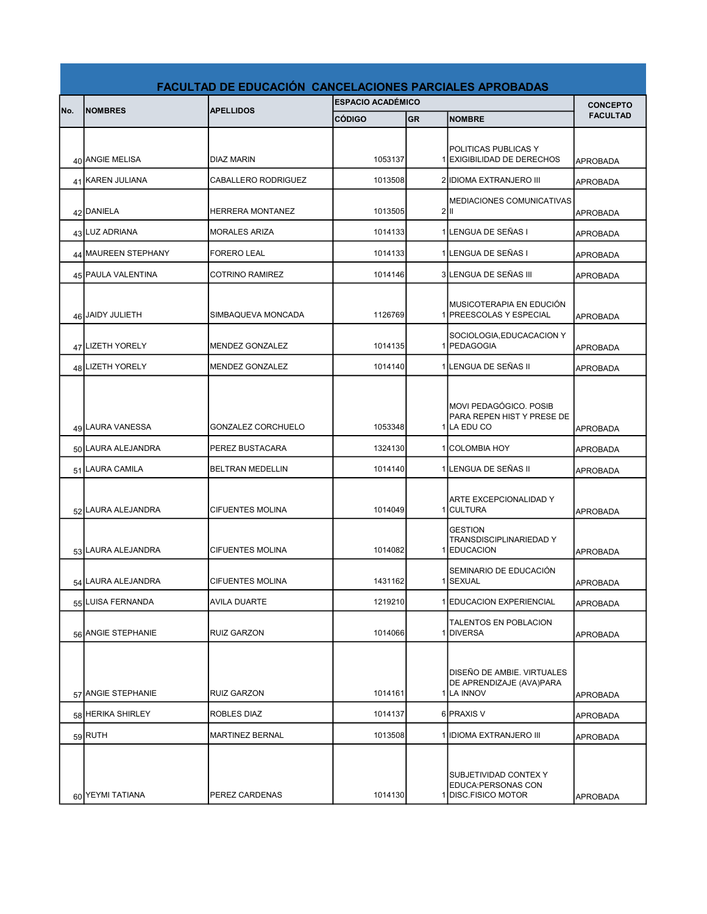|     | <b>FACULTAD DE EDUCACIÓN CANCELACIONES PARCIALES APROBADAS</b> |                         |                          |           |                                                                      |                 |  |
|-----|----------------------------------------------------------------|-------------------------|--------------------------|-----------|----------------------------------------------------------------------|-----------------|--|
|     | <b>NOMBRES</b>                                                 | <b>APELLIDOS</b>        | <b>ESPACIO ACADÉMICO</b> |           |                                                                      | <b>CONCEPTO</b> |  |
| No. |                                                                |                         | <b>CÓDIGO</b>            | <b>GR</b> | <b>NOMBRE</b>                                                        | <b>FACULTAD</b> |  |
|     | 40 ANGIE MELISA                                                | DIAZ MARIN              | 1053137                  |           | POLITICAS PUBLICAS Y<br>1 EXIGIBILIDAD DE DERECHOS                   | <b>APROBADA</b> |  |
|     | 41 KAREN JULIANA                                               | CABALLERO RODRIGUEZ     | 1013508                  |           | 2 IDIOMA EXTRANJERO III                                              | <b>APROBADA</b> |  |
|     | 42 DANIELA                                                     | <b>HERRERA MONTANEZ</b> | 1013505                  |           | MEDIACIONES COMUNICATIVAS<br>$2$  II                                 | APROBADA        |  |
|     | 43 LUZ ADRIANA                                                 | <b>MORALES ARIZA</b>    | 1014133                  |           | 1 LENGUA DE SEÑAS I                                                  | <b>APROBADA</b> |  |
|     | 44 MAUREEN STEPHANY                                            | <b>FORERO LEAL</b>      | 1014133                  |           | 1 LENGUA DE SEÑAS I                                                  | APROBADA        |  |
|     | 45 PAULA VALENTINA                                             | <b>COTRINO RAMIREZ</b>  | 1014146                  |           | 3 LENGUA DE SEÑAS III                                                | <b>APROBADA</b> |  |
|     | 46 JAIDY JULIETH                                               | SIMBAQUEVA MONCADA      | 1126769                  |           | MUSICOTERAPIA EN EDUCIÓN<br>1 <b>IPREESCOLAS Y ESPECIAL</b>          | <b>APROBADA</b> |  |
|     | 47 LIZETH YORELY                                               | <b>MENDEZ GONZALEZ</b>  | 1014135                  |           | SOCIOLOGIA, EDUCACACION Y<br>1 PEDAGOGIA                             | <b>APROBADA</b> |  |
|     | 48 LIZETH YORELY                                               | <b>MENDEZ GONZALEZ</b>  | 1014140                  |           | 1 ILENGUA DE SEÑAS II                                                | <b>APROBADA</b> |  |
|     | 49 LAURA VANESSA                                               | GONZALEZ CORCHUELO      | 1053348                  |           | MOVI PEDAGÓGICO. POSIB<br>PARA REPEN HIST Y PRESE DE<br>1 LA EDU CO  | <b>APROBADA</b> |  |
|     | 50 LAURA ALEJANDRA                                             | PEREZ BUSTACARA         | 1324130                  |           | 1 COLOMBIA HOY                                                       | APROBADA        |  |
|     | 51 LAURA CAMILA                                                | <b>BELTRAN MEDELLIN</b> | 1014140                  |           | 1 LENGUA DE SEÑAS II                                                 | <b>APROBADA</b> |  |
|     | 52 LAURA ALEJANDRA                                             | CIFUENTES MOLINA        | 1014049                  |           | ARTE EXCEPCIONALIDAD Y<br>1 CULTURA                                  | APROBADA        |  |
|     | 53 LAURA ALEJANDRA                                             | <b>CIFUENTES MOLINA</b> | 1014082                  |           | <b>GESTION</b><br>TRANSDISCIPLINARIEDAD Y<br>1 EDUCACION             | <b>APROBADA</b> |  |
|     | 54 LAURA ALEJANDRA                                             | CIFUENTES MOLINA        | 1431162                  |           | SEMINARIO DE EDUCACIÓN<br>1 SEXUAL                                   | <b>APROBADA</b> |  |
|     | 55 LUISA FERNANDA                                              | AVILA DUARTE            | 1219210                  |           | 1 EDUCACION EXPERIENCIAL                                             | <b>APROBADA</b> |  |
|     | 56 ANGIE STEPHANIE                                             | <b>RUIZ GARZON</b>      | 1014066                  |           | TALENTOS EN POBLACION<br>1DIVERSA                                    | <b>APROBADA</b> |  |
|     | 57 ANGIE STEPHANIE                                             | <b>RUIZ GARZON</b>      | 1014161                  |           | DISEÑO DE AMBIE. VIRTUALES<br>DE APRENDIZAJE (AVA)PARA<br>1 LA INNOV | APROBADA        |  |
|     | 58 HERIKA SHIRLEY                                              | ROBLES DIAZ             | 1014137                  |           | 6 PRAXIS V                                                           | <b>APROBADA</b> |  |
|     | 59 RUTH                                                        | MARTINEZ BERNAL         | 1013508                  |           | 1 IIDIOMA EXTRANJERO III                                             | <b>APROBADA</b> |  |
|     | 60 YEYMI TATIANA                                               | PEREZ CARDENAS          | 1014130                  |           | SUBJETIVIDAD CONTEX Y<br>EDUCA:PERSONAS CON<br>1 DISC.FISICO MOTOR   | APROBADA        |  |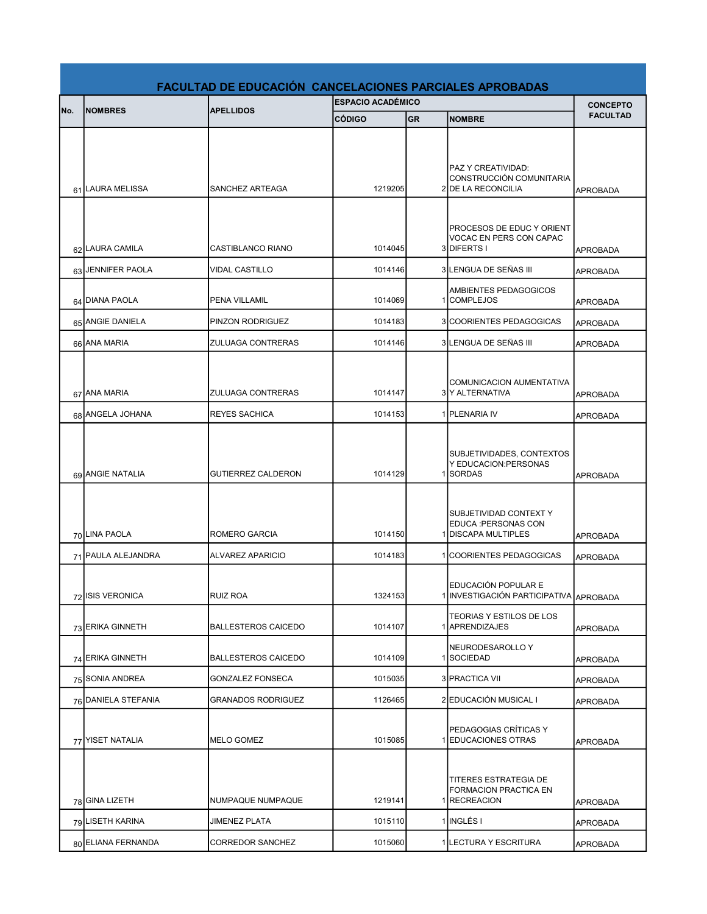|     | <b>FACULTAD DE EDUCACIÓN CANCELACIONES PARCIALES APROBADAS</b> |                            |                          |           |                                                                                                  |                 |
|-----|----------------------------------------------------------------|----------------------------|--------------------------|-----------|--------------------------------------------------------------------------------------------------|-----------------|
| No. | <b>INOMBRES</b>                                                |                            | <b>ESPACIO ACADÉMICO</b> |           |                                                                                                  | <b>CONCEPTO</b> |
|     |                                                                | <b>APELLIDOS</b>           | <b>CÓDIGO</b>            | <b>GR</b> | <b>INOMBRE</b>                                                                                   | <b>FACULTAD</b> |
|     | 61 LAURA MELISSA                                               | SANCHEZ ARTEAGA            | 1219205                  |           | PAZ Y CREATIVIDAD:<br>CONSTRUCCIÓN COMUNITARIA<br>2 DE LA RECONCILIA                             | <b>APROBADA</b> |
|     | 62 LAURA CAMILA                                                | CASTIBLANCO RIANO          | 1014045                  |           | <b>PROCESOS DE EDUC Y ORIENT</b><br>VOCAC EN PERS CON CAPAC<br>3DIFERTS I                        | <b>APROBADA</b> |
|     | 63 JENNIFER PAOLA                                              | <b>VIDAL CASTILLO</b>      | 1014146                  |           | 3 LENGUA DE SEÑAS III                                                                            | <b>APROBADA</b> |
|     | 64 DIANA PAOLA                                                 | PENA VILLAMIL              | 1014069                  |           | AMBIENTES PEDAGOGICOS<br>1 COMPLEJOS                                                             | <b>APROBADA</b> |
|     | 65 ANGIE DANIELA                                               | PINZON RODRIGUEZ           | 1014183                  |           | 3 COORIENTES PEDAGOGICAS                                                                         | <b>APROBADA</b> |
|     | 66 ANA MARIA                                                   | ZULUAGA CONTRERAS          | 1014146                  |           | 3 LENGUA DE SEÑAS III                                                                            | <b>APROBADA</b> |
|     | 67 ANA MARIA                                                   | <b>ZULUAGA CONTRERAS</b>   | 1014147                  |           | <b>COMUNICACION AUMENTATIVA</b><br>3 Y ALTERNATIVA                                               | <b>APROBADA</b> |
|     | 68 ANGELA JOHANA                                               | <b>REYES SACHICA</b>       | 1014153                  |           | 1 PLENARIA IV                                                                                    | APROBADA        |
|     | 69 ANGIE NATALIA                                               | <b>GUTIERREZ CALDERON</b>  | 1014129                  |           | SUBJETIVIDADES, CONTEXTOS<br>Y EDUCACION: PERSONAS<br>1SORDAS                                    | <b>APROBADA</b> |
|     | 70 LINA PAOLA                                                  | ROMERO GARCIA              | 1014150                  |           | SUBJETIVIDAD CONTEXT Y<br>EDUCA : PERSONAS CON<br>1 DISCAPA MULTIPLES                            | <b>APROBADA</b> |
|     | 71 PAULA ALEJANDRA                                             | <b>ALVAREZ APARICIO</b>    | 1014183                  |           | 1 COORIENTES PEDAGOGICAS                                                                         | <b>APROBADA</b> |
|     | 72 ISIS VERONICA                                               | <b>RUIZ ROA</b>            | 1324153                  |           | <b>EDUCACIÓN POPULAR E</b><br>1 INVESTIGACIÓN PARTICIPATIVA APROBADA<br>TEORIAS Y ESTILOS DE LOS |                 |
|     | 73 ERIKA GINNETH                                               | <b>BALLESTEROS CAICEDO</b> | 1014107                  |           | 1 APRENDIZAJES                                                                                   | APROBADA        |
|     | 74 ERIKA GINNETH                                               | <b>BALLESTEROS CAICEDO</b> | 1014109                  |           | <b>INEURODESAROLLO Y</b><br>1 SOCIEDAD                                                           | APROBADA        |
|     | 75 SONIA ANDREA                                                | <b>GONZALEZ FONSECA</b>    | 1015035                  |           | 3   PRACTICA VII                                                                                 | APROBADA        |
|     | 76 DANIELA STEFANIA                                            | <b>GRANADOS RODRIGUEZ</b>  | 1126465                  |           | 2 EDUCACIÓN MUSICAL I                                                                            | APROBADA        |
|     | 77 YISET NATALIA                                               | <b>MELO GOMEZ</b>          | 1015085                  |           | PEDAGOGIAS CRÍTICAS Y<br>1 EDUCACIONES OTRAS                                                     | <b>APROBADA</b> |
|     | 78 GINA LIZETH                                                 | NUMPAQUE NUMPAQUE          | 1219141                  |           | TITERES ESTRATEGIA DE<br>FORMACION PRACTICA EN<br>1 RECREACION                                   | <b>APROBADA</b> |
|     | 79 LISETH KARINA                                               | <b>JIMENEZ PLATA</b>       | 1015110                  |           | 1 INGLÉS I                                                                                       | <b>APROBADA</b> |
|     | 80 ELIANA FERNANDA                                             | CORREDOR SANCHEZ           | 1015060                  |           | 1 LECTURA Y ESCRITURA                                                                            | APROBADA        |